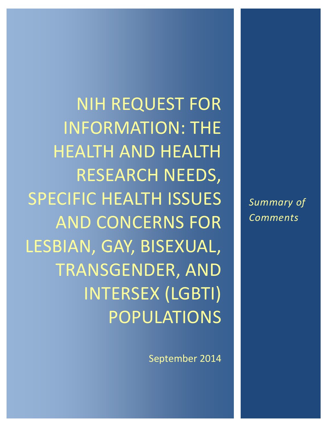*Summary of Comments*

NIH REQUEST FOR INFORMATION: THE HEALTH AND HEALTH RESEARCH NEEDS, SPECIFIC HEALTH ISSUES AND CONCERNS FOR LESBIAN, GAY, BISEXUAL, TRANSGENDER, AND INTERSEX (LGBTI) POPULATIONS

September 2014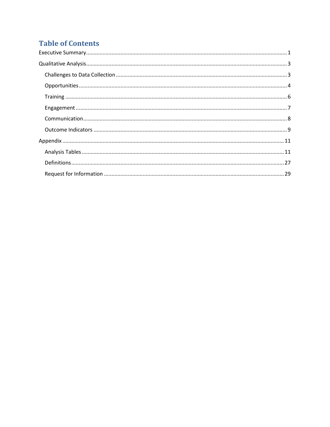# **Table of Contents**

| $\begin{minipage}[c]{0.5\textwidth} \centering \begin{tabular}{ c c c c c } \hline \textbf{Training} & \textbf{3.00016} & \textbf{4.00016} & \textbf{5.00016} & \textbf{6.00016} & \textbf{6.00016} & \textbf{6.00016} & \textbf{6.00016} & \textbf{6.00016} & \textbf{6.00016} & \textbf{6.00016} & \textbf{6.00016} & \textbf{6.00016} & \textbf{6.00016} & \textbf{$ |
|-------------------------------------------------------------------------------------------------------------------------------------------------------------------------------------------------------------------------------------------------------------------------------------------------------------------------------------------------------------------------|
|                                                                                                                                                                                                                                                                                                                                                                         |
|                                                                                                                                                                                                                                                                                                                                                                         |
|                                                                                                                                                                                                                                                                                                                                                                         |
|                                                                                                                                                                                                                                                                                                                                                                         |
|                                                                                                                                                                                                                                                                                                                                                                         |
|                                                                                                                                                                                                                                                                                                                                                                         |
|                                                                                                                                                                                                                                                                                                                                                                         |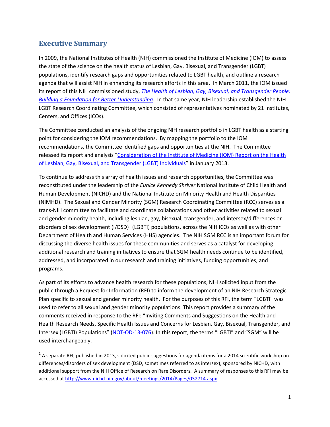# <span id="page-2-0"></span>**Executive Summary**

 $\overline{a}$ 

 In 2009, the National Institutes of Health (NIH) commissioned the Institute of Medicine (IOM) to assess the state of the science on the health status of Lesbian, Gay, Bisexual, and Transgender (LGBT) populations, identify research gaps and opportunities related to LGBT health, and outline a research agenda that will assist NIH in enhancing its research efforts in this area. In March 2011, the IOM issued *[Building a Foundation for Better Understanding](http://www.iom.edu/Reports/2011/The-Health-of-Lesbian-Gay-Bisexual-and-Transgender-People.aspx)*. In that same year, NIH leadership established the NIH its report of this NIH commissioned study, *[The Health of Lesbian, Gay, Bisexual, and Transgender People:](http://www.iom.edu/Reports/2011/The-Health-of-Lesbian-Gay-Bisexual-and-Transgender-People.aspx)*  LGBT Research Coordinating Committee, which consisted of representatives nominated by 21 Institutes, Centers, and Offices (ICOs).

 The Committee conducted an analysis of the ongoing NIH research portfolio in LGBT health as a starting point for considering the IOM recommendations. By mapping the portfolio to the IOM released its report and analysis "Consideration of the Institute of Medicine (IOM) Report on the Health recommendations, the Committee identified gaps and opportunities at the NIH. The Committee [of Lesbian, Gay, Bisexual, and Transgender \(LGBT\) Individuals"](http://report.nih.gov/UploadDocs/LGBT%20Health%20Report_FINAL_2013-01-03-508%20compliant.pdf) in January 2013.

 To continue to address this array of health issues and research opportunities, the Committee was reconstituted under the leadership of the *Eunice Kennedy Shriver* National Institute of Child Health and Human Development (NICHD) and the National Institute on Minority Health and Health Disparities Department of Health and Human Services (HHS) agencies. The NIH SGM RCC is an important forum for (NIMHD). The Sexual and Gender Minority (SGM) Research Coordinating Committee (RCC) serves as a trans-NIH committee to facilitate and coordinate collaborations and other activities related to sexual and gender minority health, including lesbian, gay, bisexual, transgender, and intersex/differences or disorders of sex development  $(I/DSD)^1$  $(I/DSD)^1$  (LGBTI) populations, across the NIH ICOs as well as with other discussing the diverse health issues for these communities and serves as a catalyst for developing additional research and training initiatives to ensure that SGM health needs continue to be identified, addressed, and incorporated in our research and training initiatives, funding opportunities, and programs.

 As part of its efforts to advance health research for these populations, NIH solicited input from the public through a Request for Information (RFI) to inform the development of an NIH Research Strategic Plan specific to sexual and gender minority health. For the purposes of this RFI, the term "LGBTI" was Intersex (LGBTI) Populations" [\(NOT-OD-13-076\)](http://grants.nih.gov/grants/guide/notice-files/NOT-OD-13-076.html). In this report, the terms "LGBTI" and "SGM" will be used to refer to all sexual and gender minority populations. This report provides a summary of the comments received in response to the RFI: "Inviting Comments and Suggestions on the Health and Health Research Needs, Specific Health Issues and Concerns for Lesbian, Gay, Bisexual, Transgender, and used interchangeably.

<span id="page-2-1"></span> additional support from the NIH Office of Research on Rare Disorders. A summary of responses to this RFI may be  $1$  A separate RFI, published in 2013, solicited public suggestions for agenda items for a 2014 scientific workshop on differences/disorders of sex development (DSD, sometimes referred to as intersex), sponsored by NICHD, with accessed at [http://www.nichd.nih.gov/about/meetings/2014/Pages/032714.aspx.](http://www.nichd.nih.gov/about/meetings/2014/Pages/032714.aspx)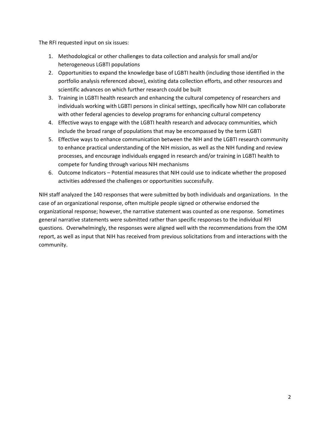The RFI requested input on six issues:

- 1. Methodological or other challenges to data collection and analysis for small and/or heterogeneous LGBTI populations
- 2. Opportunities to expand the knowledge base of LGBTI health (including those identified in the portfolio analysis referenced above), existing data collection efforts, and other resources and scientific advances on which further research could be built
- 3. Training in LGBTI health research and enhancing the cultural competency of researchers and individuals working with LGBTI persons in clinical settings, specifically how NIH can collaborate with other federal agencies to develop programs for enhancing cultural competency
- 4. Effective ways to engage with the LGBTI health research and advocacy communities, which include the broad range of populations that may be encompassed by the term LGBTI
- 5. Effective ways to enhance communication between the NIH and the LGBTI research community to enhance practical understanding of the NIH mission, as well as the NIH funding and review processes, and encourage individuals engaged in research and/or training in LGBTI health to compete for funding through various NIH mechanisms
- 6. Outcome Indicators Potential measures that NIH could use to indicate whether the proposed activities addressed the challenges or opportunities successfully.

 NIH staff analyzed the 140 responses that were submitted by both individuals and organizations. In the case of an organizational response, often multiple people signed or otherwise endorsed the questions. Overwhelmingly, the responses were aligned well with the recommendations from the IOM report, as well as input that NIH has received from previous solicitations from and interactions with the organizational response; however, the narrative statement was counted as one response. Sometimes general narrative statements were submitted rather than specific responses to the individual RFI community.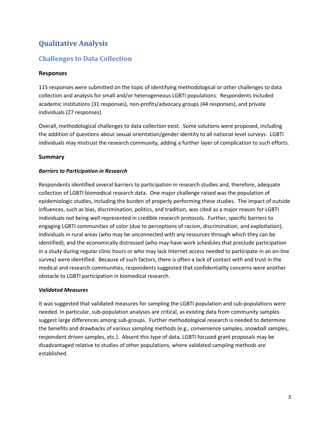# <span id="page-4-0"></span>**Qualitative Analysis**

# <span id="page-4-1"></span>**Challenges to Data Collection**

## **Responses**

 collection and analysis for small and/or heterogeneous LGBTI populations. Respondents included individuals (27 responses). 115 responses were submitted on the topic of identifying methodological or other challenges to data academic institutions (31 responses), non-profits/advocacy groups (44 responses), and private

individuals (27 responses).<br>Overall, methodological challenges to data collection exist. Some solutions were proposed, including the addition of questions about sexual orientation/gender identity to all national-level surveys. LGBTI individuals may mistrust the research community, adding a further layer of complication to such efforts.

## **Summary**

## *Barriers to Participation in Research*

 collection of LGBTI biomedical research data. One major challenge raised was the population of influences, such as bias, discrimination, politics, and tradition, was cited as a major reason for LGBTI individuals not being well represented in credible research protocols. Further, specific barriers to individuals in rural areas (who may be unconnected with any resources through which they can be in a study during regular clinic hours or who may lack Internet access needed to participate in an on-line Respondents identified several barriers to participation in research studies and, therefore, adequate epidemiologic studies, including the burden of properly performing these studies. The impact of outside engaging LGBTI communities of color (due to perceptions of racism, discrimination, and exploitation), identified), and the economically distressed (who may have work schedules that preclude participation survey) were identified. Because of such factors, there is often a lack of contact with and trust in the medical and research communities, respondents suggested that confidentiality concerns were another obstacle to LGBTI participation in biomedical research.

#### *Validated Measures*

 suggest large differences among sub-groups. Further methodological research is needed to determine respondent driven samples, etc.). Absent this type of data, LGBTI focused grant proposals may be It was suggested that validated measures for sampling the LGBTI population and sub-populations were needed. In particular, sub-population analyses are critical, as existing data from community samples the benefits and drawbacks of various sampling methods (e.g., convenience samples, snowball samples, disadvantaged relative to studies of other populations, where validated sampling methods are established.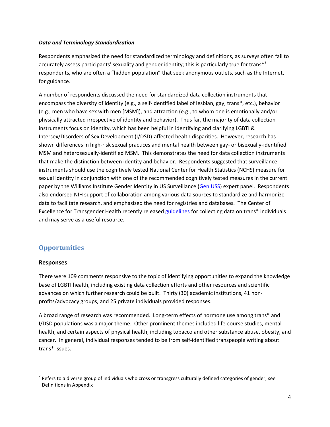#### *Data and Terminology Standardization*

for guidance. Respondents emphasized the need for standardized terminology and definitions, as surveys often fail to accurately assess participants' sexuality and gender identity; this is particularly true for trans<sup>\*2</sup> respondents, who are often a "hidden population" that seek anonymous outlets, such as the Internet,

 physically attracted irrespective of identity and behavior). Thus far, the majority of data collection instruments focus on identity, which has been helpful in identifying and clarifying LGBTI & Intersex/Disorders of Sex Development (I/DSD)-affected health disparities. However, research has that make the distinction between identity and behavior. Respondents suggested that surveillance also endorsed NIH support of collaboration among various data sources to standardize and harmonize data to facilitate research, and emphasized the need for registries and databases. The Center of Excellence for Transgender Health recently released [guidelines](http://transhealth.ucsf.edu/trans?page=lib-data-collection) for collecting data on trans\* individuals A number of respondents discussed the need for standardized data collection instruments that encompass the diversity of identity (e.g., a self-identified label of lesbian, gay, trans\*, etc.), behavior (e.g., men who have sex with men [MSM]), and attraction (e.g., to whom one is emotionally and/or shown differences in high-risk sexual practices and mental health between gay- or bisexually-identified MSM and heterosexually-identified MSM. This demonstrates the need for data collection instruments instruments should use the cognitively tested National Center for Health Statistics (NCHS) measure for sexual identity in conjunction with one of the recommended cognitively tested measures in the current paper by the Williams Institute Gender Identity in US Surveillance [\(GenIUSS\)](http://williamsinstitute.law.ucla.edu/research/census-lgbt-demographics-studies/geniuss-group-overview-feb-2013/) expert panel. Respondents and may serve as a useful resource.

# <span id="page-5-0"></span> **Opportunities**

#### **Responses**

 $\overline{\phantom{a}}$ 

 There were 109 comments responsive to the topic of identifying opportunities to expand the knowledge base of LGBTI health, including existing data collection efforts and other resources and scientific advances on which further research could be built. Thirty (30) academic institutions, 41 nonprofits/advocacy groups, and 25 private individuals provided responses.

 A broad range of research was recommended. Long-term effects of hormone use among trans\* and health, and certain aspects of physical health, including tobacco and other substance abuse, obesity, and I/DSD populations was a major theme. Other prominent themes included life-course studies, mental cancer. In general, individual responses tended to be from self-identified transpeople writing about trans\* issues.

<span id="page-5-1"></span> $2$  Refers to a diverse group of individuals who cross or transgress culturally defined categories of gender; see Definitions in Appendix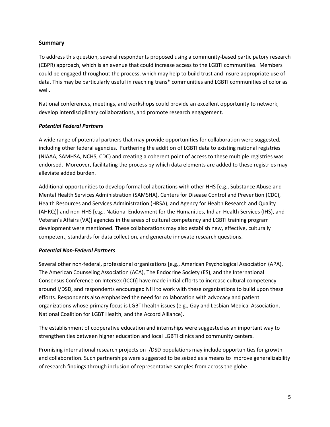## **Summary**

 (CBPR) approach, which is an avenue that could increase access to the LGBTI communities. Members could be engaged throughout the process, which may help to build trust and insure appropriate use of data. This may be particularly useful in reaching trans\* communities and LGBTI communities of color as To address this question, several respondents proposed using a community-based participatory research well.

National conferences, meetings, and workshops could provide an excellent opportunity to network, develop interdisciplinary collaborations, and promote research engagement.

## *Potential Federal Partners*

 endorsed. Moreover, facilitating the process by which data elements are added to these registries may alleviate added burden. A wide range of potential partners that may provide opportunities for collaboration were suggested, including other federal agencies. Furthering the addition of LGBTI data to existing national registries (NIAAA, SAMHSA, NCHS, CDC) and creating a coherent point of access to these multiple registries was

 competent, standards for data collection, and generate innovate research questions. Additional opportunities to develop formal collaborations with other HHS [e.g., Substance Abuse and Mental Health Services Administration (SAMSHA), Centers for Disease Control and Prevention (CDC), Health Resources and Services Administration (HRSA), and Agency for Health Research and Quality (AHRQ)] and non-HHS [e.g., National Endowment for the Humanities, Indian Health Services (IHS), and Veteran's Affairs (VA)] agencies in the areas of cultural competency and LGBTI training program development were mentioned. These collaborations may also establish new, effective, culturally

## *Potential Non-Federal Partners*

 around I/DSD, and respondents encouraged NIH to work with these organizations to build upon these Several other non-federal, professional organizations [e.g., American Psychological Association (APA), The American Counseling Association (ACA), The Endocrine Society (ES), and the International Consensus Conference on Intersex (ICCI)] have made initial efforts to increase cultural competency efforts. Respondents also emphasized the need for collaboration with advocacy and patient organizations whose primary focus is LGBTI health issues (e.g., Gay and Lesbian Medical Association, National Coalition for LGBT Health, and the Accord Alliance).

The establishment of cooperative education and internships were suggested as an important way to strengthen ties between higher education and local LGBTI clinics and community centers.

 Promising international research projects on I/DSD populations may include opportunities for growth and collaboration. Such partnerships were suggested to be seized as a means to improve generalizability of research findings through inclusion of representative samples from across the globe.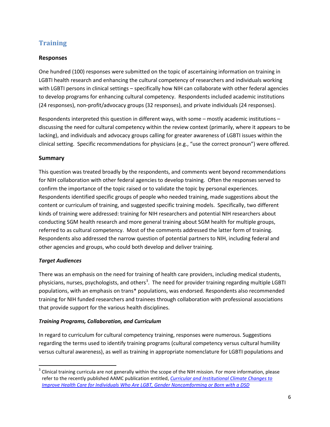# <span id="page-7-0"></span>**Training**

# **Responses**

 One hundred (100) responses were submitted on the topic of ascertaining information on training in with LGBTI persons in clinical settings – specifically how NIH can collaborate with other federal agencies LGBTI health research and enhancing the cultural competency of researchers and individuals working to develop programs for enhancing cultural competency. Respondents included academic institutions (24 responses), non-profit/advocacy groups (32 responses), and private individuals (24 responses).

 Respondents interpreted this question in different ways, with some – mostly academic institutions – lacking), and individuals and advocacy groups calling for greater awareness of LGBTI issues within the discussing the need for cultural competency within the review context (primarily, where it appears to be clinical setting. Specific recommendations for physicians (e.g., "use the correct pronoun") were offered.

## **Summary**

 for NIH collaboration with other federal agencies to develop training. Often the responses served to confirm the importance of the topic raised or to validate the topic by personal experiences. content or curriculum of training, and suggested specific training models. Specifically, two different kinds of training were addressed: training for NIH researchers and potential NIH researchers about referred to as cultural competency. Most of the comments addressed the latter form of training. This question was treated broadly by the respondents, and comments went beyond recommendations Respondents identified specific groups of people who needed training, made suggestions about the conducting SGM health research and more general training about SGM health for multiple groups, Respondents also addressed the narrow question of potential partners to NIH, including federal and other agencies and groups, who could both develop and deliver training.

## *Target Audiences*

 $\overline{a}$ 

 There was an emphasis on the need for training of health care providers, including medical students, populations, with an emphasis on trans\* populations, was endorsed. Respondents also recommended that provide support for the various health disciplines. physicians, nurses, psychologists, and others<sup>[3](#page-7-1)</sup>. The need for provider training regarding multiple LGBTI training for NIH funded researchers and trainees through collaboration with professional associations

## *Training Programs, Collaboration, and Curriculum*

In regard to curriculum for cultural competency training, responses were numerous. Suggestions regarding the terms used to identify training programs (cultural competency versus cultural humility versus cultural awareness), as well as training in appropriate nomenclature for LGBTI populations and

<span id="page-7-1"></span> refer to the recently published AAMC publication entitled, *[Curricular and Institutional Climate Changes to](http://offers.aamc.org/lgbt-dsd-health)*   $3$  Clinical training curricula are not generally within the scope of the NIH mission. For more information, please *[Improve Health Care for Individuals Who Are LGBT, Gender Noncomforming or Born with a DSD](http://offers.aamc.org/lgbt-dsd-health)*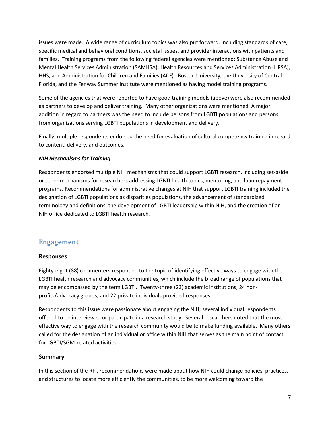issues were made. A wide range of curriculum topics was also put forward, including standards of care, families. Training programs from the following federal agencies were mentioned: Substance Abuse and HHS, and Administration for Children and Families (ACF). Boston University, the University of Central Florida, and the Fenway Summer Institute were mentioned as having model training programs. specific medical and behavioral conditions, societal issues, and provider interactions with patients and Mental Health Services Administration (SAMHSA), Health Resources and Services Administration (HRSA),

from organizations serving LGBTI populations in development and delivery. Some of the agencies that were reported to have good training models (above) were also recommended as partners to develop and deliver training. Many other organizations were mentioned. A major addition in regard to partners was the need to include persons from LGBTI populations and persons

Finally, multiple respondents endorsed the need for evaluation of cultural competency training in regard to content, delivery, and outcomes.

## *NIH Mechanisms for Training*

 terminology and definitions, the development of LGBTI leadership within NIH, and the creation of an Respondents endorsed multiple NIH mechanisms that could support LGBTI research, including set-aside or other mechanisms for researchers addressing LGBTI health topics, mentoring, and loan repayment programs. Recommendations for administrative changes at NIH that support LGBTI training included the designation of LGBTI populations as disparities populations, the advancement of standardized NIH office dedicated to LGBTI health research.

# <span id="page-8-0"></span>**Engagement**

## **Responses**

 Eighty-eight (88) commenters responded to the topic of identifying effective ways to engage with the LGBTI health research and advocacy communities, which include the broad range of populations that may be encompassed by the term LGBTI. Twenty-three (23) academic institutions, 24 nonprofits/advocacy groups, and 22 private individuals provided responses.

 Respondents to this issue were passionate about engaging the NIH; several individual respondents offered to be interviewed or participate in a research study. Several researchers noted that the most effective way to engage with the research community would be to make funding available. Many others called for the designation of an individual or office within NIH that serves as the main point of contact for LGBTI/SGM-related activities.

## **Summary**

 In this section of the RFI, recommendations were made about how NIH could change policies, practices, and structures to locate more efficiently the communities, to be more welcoming toward the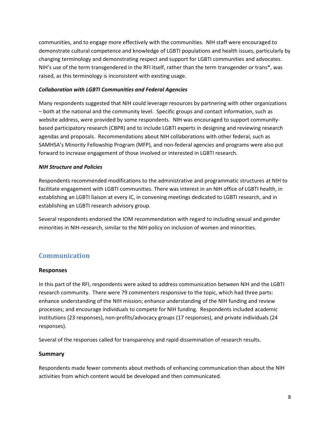communities, and to engage more effectively with the communities. NIH staff were encouraged to changing terminology and demonstrating respect and support for LGBTI communities and advocates. NIH's use of the term transgendered in the RFI itself, rather than the term transgender or trans\*, was demonstrate cultural competence and knowledge of LGBTI populations and health issues, particularly by raised, as this terminology is inconsistent with existing usage.

### *Collaboration with LGBTI Communities and Federal Agencies*

 – both at the national and the community level. Specific groups and contact information, such as website address, were provided by some respondents. NIH was encouraged to support community- based participatory research (CBPR) and to include LGBTI experts in designing and reviewing research agendas and proposals. Recommendations about NIH collaborations with other federal, such as forward to increase engagement of those involved or interested in LGBTI research. Many respondents suggested that NIH could leverage resources by partnering with other organizations SAMHSA's Minority Fellowship Program (MFP), and non-federal agencies and programs were also put

## *NIH Structure and Policies*

 facilitate engagement with LGBTI communities. There was interest in an NIH office of LGBTI health, in Respondents recommended modifications to the administrative and programmatic structures at NIH to establishing an LGBTI liaison at every IC, in convening meetings dedicated to LGBTI research, and in establishing an LGBTI research advisory group.

 minorities in NIH-research, similar to the NIH policy on inclusion of women and minorities. Several respondents endorsed the IOM recommendation with regard to including sexual and gender

# <span id="page-9-0"></span>**Communication**

## **Responses**

 research community. There were 79 commenters responsive to the topic, which had three parts: processes; and encourage individuals to compete for NIH funding. Respondents included academic institutions (23 responses), non-profits/advocacy groups (17 responses), and private individuals (24 In this part of the RFI, respondents were asked to address communication between NIH and the LGBTI enhance understanding of the NIH mission; enhance understanding of the NIH funding and review responses).

Several of the responses called for transparency and rapid dissemination of research results.

## **Summary**

 Respondents made fewer comments about methods of enhancing communication than about the NIH activities from which content would be developed and then communicated.<br>8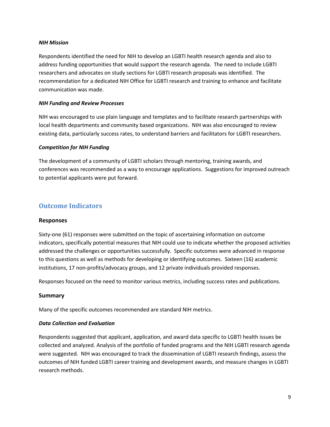#### *NIH Mission*

 address funding opportunities that would support the research agenda. The need to include LGBTI recommendation for a dedicated NIH Office for LGBTI research and training to enhance and facilitate Respondents identified the need for NIH to develop an LGBTI health research agenda and also to researchers and advocates on study sections for LGBTI research proposals was identified. The communication was made.

#### *NIH Funding and Review Processes*

NIH was encouraged to use plain language and templates and to facilitate research partnerships with local health departments and community based organizations. NIH was also encouraged to review existing data, particularly success rates, to understand barriers and facilitators for LGBTI researchers.

#### *Competition for NIH Funding*

 The development of a community of LGBTI scholars through mentoring, training awards, and conferences was recommended as a way to encourage applications. Suggestions for improved outreach to potential applicants were put forward.

# <span id="page-10-0"></span>**Outcome Indicators**

#### **Responses**

 Sixty-one (61) responses were submitted on the topic of ascertaining information on outcome addressed the challenges or opportunities successfully. Specific outcomes were advanced in response to this questions as well as methods for developing or identifying outcomes. Sixteen (16) academic indicators, specifically potential measures that NIH could use to indicate whether the proposed activities institutions, 17 non-profits/advocacy groups, and 12 private individuals provided responses.

Responses focused on the need to monitor various metrics, including success rates and publications.

#### **Summary**

Many of the specific outcomes recommended are standard NIH metrics.

#### *Data Collection and Evaluation*

 collected and analyzed. Analysis of the portfolio of funded programs and the NIH LGBTI research agenda were suggested. NIH was encouraged to track the dissemination of LGBTI research findings, assess the outcomes of NIH funded LGBTI career training and development awards, and measure changes in LGBTI Respondents suggested that applicant, application, and award data specific to LGBTI health issues be research methods.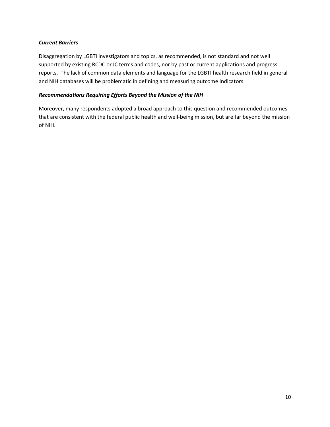### *Current Barriers*

 reports. The lack of common data elements and language for the LGBTI health research field in general and NIH databases will be problematic in defining and measuring outcome indicators. Disaggregation by LGBTI investigators and topics, as recommended, is not standard and not well supported by existing RCDC or IC terms and codes, nor by past or current applications and progress

### *Recommendations Requiring Efforts Beyond the Mission of the NIH*

 Moreover, many respondents adopted a broad approach to this question and recommended outcomes that are consistent with the federal public health and well-being mission, but are far beyond the mission of NIH.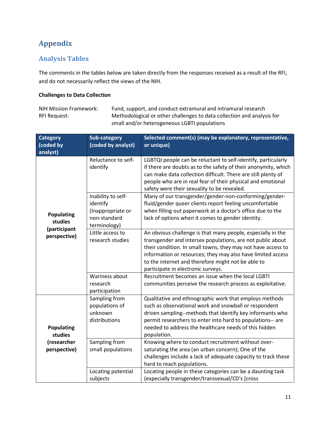# <span id="page-12-0"></span>**Appendix**

# <span id="page-12-1"></span>**Analysis Tables**

The comments in the tables below are taken directly from the responses received as a result of the RFI, and do not necessarily reflect the views of the NIH.

## **Challenges to Data Collection**

 small and/or heterogeneous LGBTI populations NIH Mission Framework: Fund, support, and conduct extramural and intramural research RFI Request: Methodological or other challenges to data collection and analysis for

| <b>Category</b><br>(coded by<br>analyst) | Sub-category<br>(coded by analyst)                                                  | Selected comment(s) (may be explanatory, representative,<br>or unique)                                                                                                                                                                                                                                                                               |
|------------------------------------------|-------------------------------------------------------------------------------------|------------------------------------------------------------------------------------------------------------------------------------------------------------------------------------------------------------------------------------------------------------------------------------------------------------------------------------------------------|
|                                          | Reluctance to self-<br>identify                                                     | LGBTQI people can be reluctant to self-identify, particularly<br>if there are doubts as to the safety of their anonymity, which<br>can make data collection difficult. There are still plenty of<br>people who are in real fear of their physical and emotional<br>safety were their sexuality to be revealed.                                       |
| <b>Populating</b><br>studies             | Inability to self-<br>identify<br>(Inappropriate or<br>non-standard<br>terminology) | Many of our transgender/gender-non-conforming/gender-<br>fluid/gender queer clients report feeling uncomfortable<br>when filling out paperwork at a doctor's office due to the<br>lack of options when it comes to gender identity.                                                                                                                  |
| (participant<br>perspective)             | Little access to<br>research studies                                                | An obvious challenge is that many people, especially in the<br>transgender and intersex populations, are not public about<br>their condition. In small towns, they may not have access to<br>information or resources; they may also have limited access<br>to the internet and therefore might not be able to<br>participate in electronic surveys. |
|                                          | Wariness about<br>research<br>participation                                         | Recruitment becomes an issue when the local LGBTI<br>communities perceive the research process as exploitative.                                                                                                                                                                                                                                      |
| <b>Populating</b><br>studies             | Sampling from<br>populations of<br>unknown<br>distributions                         | Qualitative and ethnographic work that employs methods<br>such as observational work and snowball or respondent<br>driven sampling--methods that identify key informants who<br>permit researchers to enter into hard to populations-- are<br>needed to address the healthcare needs of this hidden<br>population.                                   |
| (researcher<br>perspective)              | Sampling from<br>small populations                                                  | Knowing where to conduct recruitment without over-<br>saturating the area (an urban concern); One of the<br>challenges include a lack of adequate capacity to track these<br>hard to reach populations.                                                                                                                                              |
|                                          | Locating potential<br>subjects                                                      | Locating people in these categories can be a daunting task<br>(expecially transgender/transsexual/CD's [cross                                                                                                                                                                                                                                        |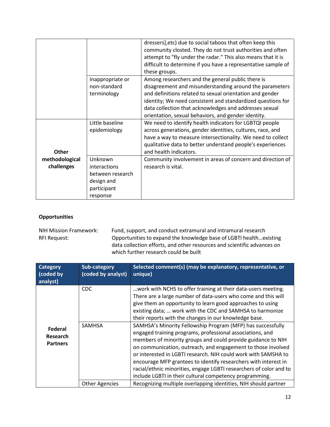|                |                  | dressers], etc) due to social taboos that often keep this     |
|----------------|------------------|---------------------------------------------------------------|
|                |                  | community closted. They do not trust authorities and often    |
|                |                  | attempt to "fly under the radar." This also means that it is  |
|                |                  | difficult to determine if you have a representative sample of |
|                |                  | these groups.                                                 |
|                | Inappropriate or | Among researchers and the general public there is             |
|                | non-standard     | disagreement and misunderstanding around the parameters       |
|                | terminology      | and definitions related to sexual orientation and gender      |
|                |                  | identity; We need consistent and standardized questions for   |
|                |                  | data collection that acknowledges and addresses sexual        |
|                |                  | orientation, sexual behaviors, and gender identity.           |
|                | Little baseline  | We need to identify health indicators for LGBTQI people       |
|                | epidemiology     | across generations, gender identities, cultures, race, and    |
|                |                  | have a way to measure intersectionality. We need to collect   |
|                |                  | qualitative data to better understand people's experiences    |
| <b>Other</b>   |                  | and health indicators.                                        |
| methodological | Unknown          | Community involvement in areas of concern and direction of    |
| challenges     | interactions     | research is vital.                                            |
|                | between research |                                                               |
|                | design and       |                                                               |
|                | participant      |                                                               |
|                | response         |                                                               |

## **Opportunities**

 RFI Request: Opportunities to expand the knowledge base of LGBTI health…existing data collection efforts, and other resources and scientific advances on NIH Mission Framework: Fund, support, and conduct extramural and intramural research<br>RFI Request: Opportunities to expand the knowledge base of LGBTI health...ex which further research could be built

| <b>Category</b><br>(coded by<br>analyst) | Sub-category<br>(coded by analyst) | Selected comment(s) (may be explanatory, representative, or<br>unique)                                                                                                                                                                                                                                                                                                                                                                                                                                                         |
|------------------------------------------|------------------------------------|--------------------------------------------------------------------------------------------------------------------------------------------------------------------------------------------------------------------------------------------------------------------------------------------------------------------------------------------------------------------------------------------------------------------------------------------------------------------------------------------------------------------------------|
|                                          | <b>CDC</b>                         | work with NCHS to offer training at their data-users meeting.<br>There are a large number of data-users who come and this will<br>give them an opportunity to learn good approaches to using<br>existing data;  work with the CDC and SAMHSA to harmonize<br>their reports with the changes in our knowledge base.                                                                                                                                                                                                             |
| Federal<br>Research<br><b>Partners</b>   | <b>SAMHSA</b>                      | SAMHSA's Minority Fellowship Program (MFP) has successfully<br>engaged training programs, professional associations, and<br>members of minority groups and could provide guidance to NIH<br>on communication, outreach, and engagement to those involved<br>or interested in LGBTI research. NIH could work with SAMSHA to<br>encourage MFP grantees to identify researchers with interest in<br>racial/ethnic minorities, engage LGBTI researchers of color and to<br>include LGBTI in their cultural competency programming. |
|                                          | <b>Other Agencies</b>              | Recognizing multiple overlapping identities, NIH should partner                                                                                                                                                                                                                                                                                                                                                                                                                                                                |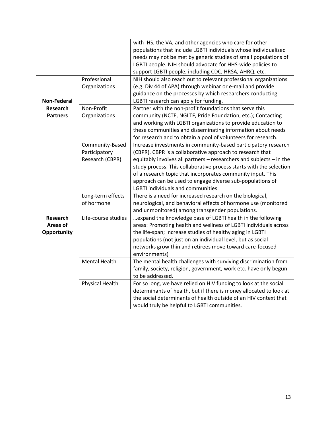|                    |                      | with IHS, the VA, and other agencies who care for other             |
|--------------------|----------------------|---------------------------------------------------------------------|
|                    |                      | populations that include LGBTI individuals whose individualized     |
|                    |                      | needs may not be met by generic studies of small populations of     |
|                    |                      | LGBTI people. NIH should advocate for HHS-wide policies to          |
|                    |                      | support LGBTI people, including CDC, HRSA, AHRQ, etc.               |
|                    | Professional         | NIH should also reach out to relevant professional organizations    |
|                    | Organizations        | (e.g. Div 44 of APA) through webinar or e-mail and provide          |
|                    |                      | guidance on the processes by which researchers conducting           |
| <b>Non-Federal</b> |                      | LGBTI research can apply for funding.                               |
| Research           | Non-Profit           | Partner with the non-profit foundations that serve this             |
| <b>Partners</b>    | Organizations        | community (NCTE, NGLTF, Pride Foundation, etc.); Contacting         |
|                    |                      | and working with LGBTI organizations to provide education to        |
|                    |                      | these communities and disseminating information about needs         |
|                    |                      | for research and to obtain a pool of volunteers for research.       |
|                    | Community-Based      | Increase investments in community-based participatory research      |
|                    | Participatory        | (CBPR). CBPR is a collaborative approach to research that           |
|                    | Research (CBPR)      | equitably involves all partners - researchers and subjects - in the |
|                    |                      | study process. This collaborative process starts with the selection |
|                    |                      | of a research topic that incorporates community input. This         |
|                    |                      | approach can be used to engage diverse sub-populations of           |
|                    |                      | LGBTI individuals and communities.                                  |
|                    | Long-term effects    | There is a need for increased research on the biological,           |
|                    | of hormone           | neurological, and behavioral effects of hormone use (monitored      |
|                    |                      | and unmonitored) among transgender populations.                     |
| <b>Research</b>    | Life-course studies  | expand the knowledge base of LGBTI health in the following          |
| Areas of           |                      | areas: Promoting health and wellness of LGBTI individuals across    |
| Opportunity        |                      | the life-span; Increase studies of healthy aging in LGBTI           |
|                    |                      | populations (not just on an individual level, but as social         |
|                    |                      | networks grow thin and retirees move toward care-focused            |
|                    |                      | environments)                                                       |
|                    | <b>Mental Health</b> | The mental health challenges with surviving discrimination from     |
|                    |                      | family, society, religion, government, work etc. have only begun    |
|                    |                      | to be addressed.                                                    |
|                    | Physical Health      | For so long, we have relied on HIV funding to look at the social    |
|                    |                      | determinants of health, but if there is money allocated to look at  |
|                    |                      | the social determinants of health outside of an HIV context that    |
|                    |                      | would truly be helpful to LGBTI communities.                        |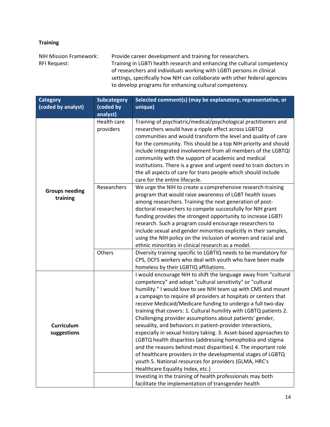# **Training**

NIH Mission Framework: RFI Request: Provide career development and training for researchers. Training in LGBTI health research and enhancing the cultural competency of researchers and individuals working with LGBTI persons in clinical settings, specifically how NIH can collaborate with other federal agencies to develop programs for enhancing cultural competency.

| <b>Category</b><br>(coded by analyst) | <b>Subcategory</b><br>(coded by<br>analyst) | Selected comment(s) (may be explanatory, representative, or<br>unique)                                                                                                                                                                                                                                                                                                                                                                                                                                                                                                                                                                                                                                                                                                                                                                                                                                                                                           |
|---------------------------------------|---------------------------------------------|------------------------------------------------------------------------------------------------------------------------------------------------------------------------------------------------------------------------------------------------------------------------------------------------------------------------------------------------------------------------------------------------------------------------------------------------------------------------------------------------------------------------------------------------------------------------------------------------------------------------------------------------------------------------------------------------------------------------------------------------------------------------------------------------------------------------------------------------------------------------------------------------------------------------------------------------------------------|
|                                       | Health care<br>providers                    | Training of psychiatric/medical/psychological practitioners and<br>researchers would have a ripple effect across LGBTQI<br>communities and would transform the level and quality of care<br>for the community. This should be a top NIH priority and should<br>include integrated involvement from all members of the LGBTQI<br>community with the support of academic and medical<br>institutions. There is a grave and urgent need to train doctors in<br>the all aspects of care for trans people which should include<br>care for the entire lifecycle.                                                                                                                                                                                                                                                                                                                                                                                                      |
| <b>Groups needing</b><br>training     | Researchers                                 | We urge the NIH to create a comprehensive research-training<br>program that would raise awareness of LGBT health issues<br>among researchers. Training the next generation of post-<br>doctoral researchers to compete successfully for NIH grant<br>funding provides the strongest opportunity to increase LGBTI<br>research. Such a program could encourage researchers to<br>include sexual and gender minorities explicitly in their samples,<br>using the NIH policy on the inclusion of women and racial and                                                                                                                                                                                                                                                                                                                                                                                                                                               |
|                                       | Others                                      | Diversity training specific to LGBTIQ needs to be mandatory for<br>CPS, DCFS workers who deal with youth who have been made                                                                                                                                                                                                                                                                                                                                                                                                                                                                                                                                                                                                                                                                                                                                                                                                                                      |
| <b>Curriculum</b><br>suggestions      |                                             | I would encourage NIH to shift the language away from "cultural<br>competency" and adopt "cultural sensitivity" or "cultural<br>humility." I would love to see NIH team up with CMS and mount<br>a campaign to require all providers at hospitals or centers that<br>receive Medicaid/Medicare funding to undergo a full two-day<br>training that covers: 1. Cultural humility with LGBTQ patients 2.<br>Challenging provider assumptions about patients' gender,<br>sexuality, and behaviors in patient-provider interactions,<br>especially in sexual history taking. 3. Asset-based approaches to<br>LGBTQ health disparities (addressing homophobia and stigma<br>and the reasons behind most disparities) 4. The important role<br>of healthcare providers in the developmental stages of LGBTQ<br>youth 5. National resources for providers (GLMA, HRC's<br>Healthcare Equality Index, etc.)<br>Investing in the training of health professionals may both |
|                                       |                                             | ethnic minorities in clinical research as a model.<br>homeless by their LGBTIQ affiliations.<br>facilitate the implementation of transgender health                                                                                                                                                                                                                                                                                                                                                                                                                                                                                                                                                                                                                                                                                                                                                                                                              |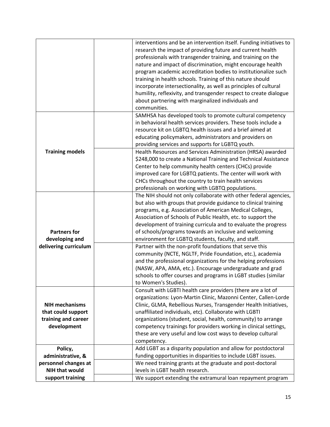|                        | interventions and be an intervention itself. Funding initiatives to                                      |
|------------------------|----------------------------------------------------------------------------------------------------------|
|                        | research the impact of providing future and current health                                               |
|                        | professionals with transgender training, and training on the                                             |
|                        | nature and impact of discrimination, might encourage health                                              |
|                        | program academic accreditation bodies to institutionalize such                                           |
|                        | training in health schools. Training of this nature should                                               |
|                        | incorporate intersectionality, as well as principles of cultural                                         |
|                        | humility, reflexivity, and transgender respect to create dialogue                                        |
|                        | about partnering with marginalized individuals and                                                       |
|                        | communities.                                                                                             |
|                        | SAMHSA has developed tools to promote cultural competency                                                |
|                        | in behavioral health services providers. These tools include a                                           |
|                        | resource kit on LGBTQ health issues and a brief aimed at                                                 |
|                        | educating policymakers, administrators and providers on                                                  |
|                        | providing services and supports for LGBTQ youth.                                                         |
| <b>Training models</b> | Health Resources and Services Administration (HRSA) awarded                                              |
|                        | \$248,000 to create a National Training and Technical Assistance                                         |
|                        | Center to help community health centers (CHCs) provide                                                   |
|                        | improved care for LGBTQ patients. The center will work with                                              |
|                        |                                                                                                          |
|                        | CHCs throughout the country to train health services<br>professionals on working with LGBTQ populations. |
|                        | The NIH should not only collaborate with other federal agencies,                                         |
|                        |                                                                                                          |
|                        | but also with groups that provide guidance to clinical training                                          |
|                        | programs, e.g. Association of American Medical Colleges,                                                 |
|                        | Association of Schools of Public Health, etc. to support the                                             |
|                        | development of training curricula and to evaluate the progress                                           |
| <b>Partners for</b>    | of schools/programs towards an inclusive and welcoming                                                   |
| developing and         | environment for LGBTQ students, faculty, and staff.                                                      |
| delivering curriculum  | Partner with the non-profit foundations that serve this                                                  |
|                        | community (NCTE, NGLTF, Pride Foundation, etc.), academia                                                |
|                        | and the professional organizations for the helping professions                                           |
|                        | (NASW, APA, AMA, etc.). Encourage undergraduate and grad                                                 |
|                        | schools to offer courses and programs in LGBT studies (similar                                           |
|                        | to Women's Studies).                                                                                     |
|                        | Consult with LGBTI health care providers (there are a lot of                                             |
|                        | organizations: Lyon-Martin Clinic, Mazonni Center, Callen-Lorde                                          |
| <b>NIH mechanisms</b>  | Clinic, GLMA, Rebellious Nurses, Transgender Health Initiatives,                                         |
| that could support     | unaffiliated individuals, etc). Collaborate with LGBTI                                                   |
| training and career    | organizations (student, social, health, community) to arrange                                            |
| development            | competency trainings for providers working in clinical settings,                                         |
|                        | these are very useful and low cost ways to develop cultural                                              |
|                        | competency.                                                                                              |
| Policy,                | Add LGBT as a disparity population and allow for postdoctoral                                            |
| administrative, &      | funding opportunities in disparities to include LGBT issues.                                             |
| personnel changes at   | We need training grants at the graduate and post-doctoral                                                |
| <b>NIH that would</b>  | levels in LGBT health research.                                                                          |
| support training       | We support extending the extramural loan repayment program                                               |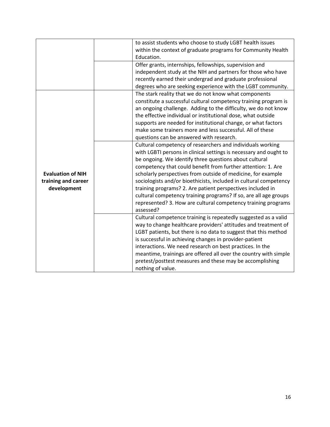|                          | to assist students who choose to study LGBT health issues         |
|--------------------------|-------------------------------------------------------------------|
|                          | within the context of graduate programs for Community Health      |
|                          | Education.                                                        |
|                          | Offer grants, internships, fellowships, supervision and           |
|                          | independent study at the NIH and partners for those who have      |
|                          |                                                                   |
|                          | recently earned their undergrad and graduate professional         |
|                          | degrees who are seeking experience with the LGBT community.       |
|                          | The stark reality that we do not know what components             |
|                          | constitute a successful cultural competency training program is   |
|                          | an ongoing challenge. Adding to the difficulty, we do not know    |
|                          | the effective individual or institutional dose, what outside      |
|                          | supports are needed for institutional change, or what factors     |
|                          | make some trainers more and less successful. All of these         |
|                          | questions can be answered with research.                          |
|                          | Cultural competency of researchers and individuals working        |
|                          | with LGBTI persons in clinical settings is necessary and ought to |
|                          | be ongoing. We identify three questions about cultural            |
|                          | competency that could benefit from further attention: 1. Are      |
| <b>Evaluation of NIH</b> | scholarly perspectives from outside of medicine, for example      |
| training and career      | sociologists and/or bioethicists, included in cultural competency |
| development              | training programs? 2. Are patient perspectives included in        |
|                          | cultural competency training programs? If so, are all age groups  |
|                          | represented? 3. How are cultural competency training programs     |
|                          | assessed?                                                         |
|                          | Cultural competence training is repeatedly suggested as a valid   |
|                          | way to change healthcare providers' attitudes and treatment of    |
|                          | LGBT patients, but there is no data to suggest that this method   |
|                          | is successful in achieving changes in provider-patient            |
|                          | interactions. We need research on best practices. In the          |
|                          | meantime, trainings are offered all over the country with simple  |
|                          | pretest/posttest measures and these may be accomplishing          |
|                          | nothing of value.                                                 |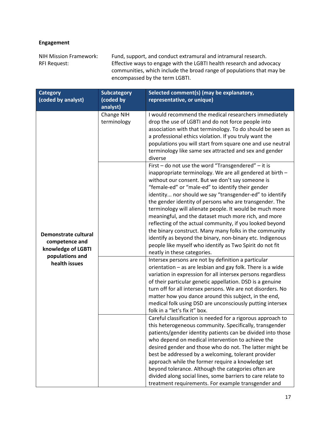# **Engagement**

 communities, which include the broad range of populations that may be NIH Mission Framework: Fund, support, and conduct extramural and intramural research. RFI Request: Effective ways to engage with the LGBTI health research and advocacy encompassed by the term LGBTI.

| <b>Category</b>                                                                 | <b>Subcategory</b>        | Selected comment(s) (may be explanatory,                                                                                                                                                                                                                                                                                                                                                                                                                                                                                                                                                                                                                                                                                                         |
|---------------------------------------------------------------------------------|---------------------------|--------------------------------------------------------------------------------------------------------------------------------------------------------------------------------------------------------------------------------------------------------------------------------------------------------------------------------------------------------------------------------------------------------------------------------------------------------------------------------------------------------------------------------------------------------------------------------------------------------------------------------------------------------------------------------------------------------------------------------------------------|
| (coded by analyst)                                                              | (coded by                 | representative, or unique)                                                                                                                                                                                                                                                                                                                                                                                                                                                                                                                                                                                                                                                                                                                       |
|                                                                                 | analyst)                  |                                                                                                                                                                                                                                                                                                                                                                                                                                                                                                                                                                                                                                                                                                                                                  |
|                                                                                 | Change NIH<br>terminology | I would recommend the medical researchers immediately<br>drop the use of LGBTI and do not force people into<br>association with that terminology. To do should be seen as<br>a professional ethics violation. If you truly want the<br>populations you will start from square one and use neutral<br>terminology like same sex attracted and sex and gender<br>diverse                                                                                                                                                                                                                                                                                                                                                                           |
| Demonstrate cultural<br>competence and<br>knowledge of LGBTI<br>populations and |                           | First - do not use the word "Transgendered" - it is<br>inappropriate terminology. We are all gendered at birth -<br>without our consent. But we don't say someone is<br>"female-ed" or "male-ed" to identify their gender<br>identity nor should we say "transgender-ed" to identify<br>the gender identity of persons who are transgender. The<br>terminology will alienate people. It would be much more<br>meaningful, and the dataset much more rich, and more<br>reflecting of the actual community, if you looked beyond<br>the binary construct. Many many folks in the community<br>identify as beyond the binary, non-binary etc. Indigenous<br>people like myself who identify as Two Spirit do not fit<br>neatly in these categories. |
| health issues                                                                   |                           | Intersex persons are not by definition a particular<br>orientation - as are lesbian and gay folk. There is a wide<br>variation in expression for all intersex persons regardless<br>of their particular genetic appellation. DSD is a genuine<br>turn off for all intersex persons. We are not disorders. No<br>matter how you dance around this subject, in the end,<br>medical folk using DSD are unconsciously putting intersex<br>folk in a "let's fix it" box.                                                                                                                                                                                                                                                                              |
|                                                                                 |                           | Careful classification is needed for a rigorous approach to<br>this heterogeneous community. Specifically, transgender<br>patients/gender identity patients can be divided into those<br>who depend on medical intervention to achieve the<br>desired gender and those who do not. The latter might be<br>best be addressed by a welcoming, tolerant provider<br>approach while the former require a knowledge set<br>beyond tolerance. Although the categories often are<br>divided along social lines, some barriers to care relate to<br>treatment requirements. For example transgender and                                                                                                                                                  |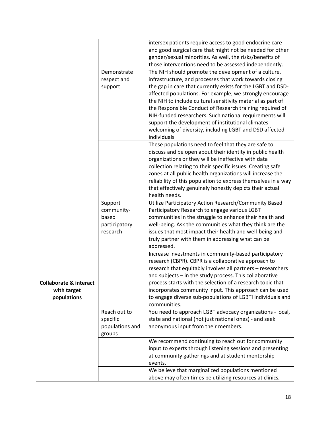|                                                                 |                                                             | intersex patients require access to good endocrine care<br>and good surgical care that might not be needed for other<br>gender/sexual minorities. As well, the risks/benefits of<br>those interventions need to be assessed independently.                                                                                                                                                                                                                                            |
|-----------------------------------------------------------------|-------------------------------------------------------------|---------------------------------------------------------------------------------------------------------------------------------------------------------------------------------------------------------------------------------------------------------------------------------------------------------------------------------------------------------------------------------------------------------------------------------------------------------------------------------------|
|                                                                 | Demonstrate<br>respect and<br>support                       | The NIH should promote the development of a culture,<br>infrastructure, and processes that work towards closing<br>the gap in care that currently exists for the LGBT and DSD-<br>affected populations. For example, we strongly encourage<br>the NIH to include cultural sensitivity material as part of<br>the Responsible Conduct of Research training required of<br>NIH-funded researchers. Such national requirements will<br>support the development of institutional climates |
|                                                                 |                                                             | welcoming of diversity, including LGBT and DSD affected<br>individuals<br>These populations need to feel that they are safe to                                                                                                                                                                                                                                                                                                                                                        |
|                                                                 |                                                             | discuss and be open about their identity in public health<br>organizations or they will be ineffective with data<br>collection relating to their specific issues. Creating safe<br>zones at all public health organizations will increase the<br>reliability of this population to express themselves in a way<br>that effectively genuinely honestly depicts their actual<br>health needs.                                                                                           |
|                                                                 | Support<br>community-<br>based<br>participatory<br>research | Utilize Participatory Action Research/Community Based<br>Participatory Research to engage various LGBT<br>communities in the struggle to enhance their health and<br>well-being. Ask the communities what they think are the<br>issues that most impact their health and well-being and<br>truly partner with them in addressing what can be<br>addressed.                                                                                                                            |
| <b>Collaborate &amp; interact</b><br>with target<br>populations |                                                             | Increase investments in community-based participatory<br>research (CBPR). CBPR is a collaborative approach to<br>research that equitably involves all partners - researchers<br>and subjects - in the study process. This collaborative<br>process starts with the selection of a research topic that<br>incorporates community input. This approach can be used<br>to engage diverse sub-populations of LGBTI individuals and<br>communities.                                        |
|                                                                 | Reach out to<br>specific<br>populations and<br>groups       | You need to approach LGBT advocacy organizations - local,<br>state and national (not just national ones) - and seek<br>anonymous input from their members.                                                                                                                                                                                                                                                                                                                            |
|                                                                 |                                                             | We recommend continuing to reach out for community<br>input to experts through listening sessions and presenting<br>at community gatherings and at student mentorship<br>events.                                                                                                                                                                                                                                                                                                      |
|                                                                 |                                                             | We believe that marginalized populations mentioned<br>above may often times be utilizing resources at clinics,                                                                                                                                                                                                                                                                                                                                                                        |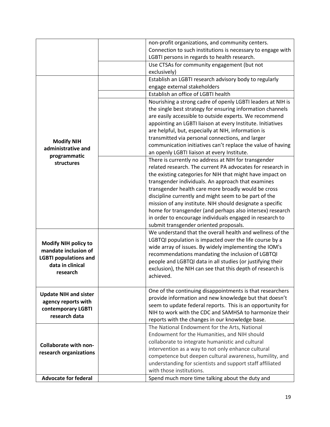|                              | non-profit organizations, and community centers.            |
|------------------------------|-------------------------------------------------------------|
|                              | Connection to such institutions is necessary to engage with |
|                              | LGBTI persons in regards to health research.                |
|                              | Use CTSAs for community engagement (but not                 |
|                              | exclusively)                                                |
|                              | Establish an LGBTI research advisory body to regularly      |
|                              | engage external stakeholders                                |
|                              | Establish an office of LGBTI health                         |
|                              | Nourishing a strong cadre of openly LGBTI leaders at NIH is |
|                              | the single best strategy for ensuring information channels  |
|                              | are easily accessible to outside experts. We recommend      |
|                              | appointing an LGBTI liaison at every Institute. Initiatives |
|                              | are helpful, but, especially at NIH, information is         |
|                              | transmitted via personal connections, and larger            |
| <b>Modify NIH</b>            | communication initiatives can't replace the value of having |
| administrative and           | an openly LGBTI liaison at every Institute.                 |
| programmatic                 | There is currently no address at NIH for transgender        |
| structures                   | related research. The current PA advocates for research in  |
|                              | the existing categories for NIH that might have impact on   |
|                              | transgender individuals. An approach that examines          |
|                              | transgender health care more broadly would be cross         |
|                              | discipline currently and might seem to be part of the       |
|                              | mission of any institute. NIH should designate a specific   |
|                              | home for transgender (and perhaps also intersex) research   |
|                              | in order to encourage individuals engaged in research to    |
|                              | submit transgender oriented proposals.                      |
|                              | We understand that the overall health and wellness of the   |
|                              | LGBTQI population is impacted over the life course by a     |
| <b>Modify NIH policy to</b>  | wide array of issues. By widely implementing the IOM's      |
| mandate inclusion of         | recommendations mandating the inclusion of LGBTQI           |
| <b>LGBTI populations and</b> | people and LGBTQI data in all studies (or justifying their  |
| data in clinical             | exclusion), the NIH can see that this depth of research is  |
| research                     | achieved.                                                   |
|                              |                                                             |
|                              | One of the continuing disappointments is that researchers   |
| <b>Update NIH and sister</b> | provide information and new knowledge but that doesn't      |
| agency reports with          | seem to update federal reports. This is an opportunity for  |
| contemporary LGBTI           | NIH to work with the CDC and SAMHSA to harmonize their      |
| research data                | reports with the changes in our knowledge base.             |
|                              | The National Endowment for the Arts, National               |
|                              | Endowment for the Humanities, and NIH should                |
|                              | collaborate to integrate humanistic and cultural            |
| <b>Collaborate with non-</b> | intervention as a way to not only enhance cultural          |
| research organizations       | competence but deepen cultural awareness, humility, and     |
|                              | understanding for scientists and support staff affiliated   |
|                              | with those institutions.                                    |
| <b>Advocate for federal</b>  | Spend much more time talking about the duty and             |
|                              |                                                             |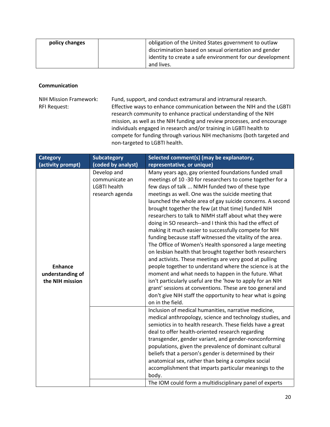| policy changes | obligation of the United States government to outlaw      |
|----------------|-----------------------------------------------------------|
|                | discrimination based on sexual orientation and gender     |
|                | identity to create a safe environment for our development |
|                | and lives.                                                |

### **Communication**

**RFI Request:** NIH Mission Framework: NIH Mission Framework: Fund, support, and conduct extramural and intramural research.<br>RFI Request: Fifective ways to enhance communication between the NIH and the LGBTI research community to enhance practical understanding of the NIH mission, as well as the NIH funding and review processes, and encourage individuals engaged in research and/or training in LGBTI health to compete for funding through various NIH mechanisms (both targeted and non-targeted to LGBTI health.

| <b>Category</b>                                       | <b>Subcategory</b>                                                      | Selected comment(s) (may be explanatory,                                                                                                                                                                                                                                                                                                                                                                                                                                                                                                                                                                                                                                                                                                                                                                                                                                                                                                                                                                                                                                                                    |
|-------------------------------------------------------|-------------------------------------------------------------------------|-------------------------------------------------------------------------------------------------------------------------------------------------------------------------------------------------------------------------------------------------------------------------------------------------------------------------------------------------------------------------------------------------------------------------------------------------------------------------------------------------------------------------------------------------------------------------------------------------------------------------------------------------------------------------------------------------------------------------------------------------------------------------------------------------------------------------------------------------------------------------------------------------------------------------------------------------------------------------------------------------------------------------------------------------------------------------------------------------------------|
| (activity prompt)                                     | (coded by analyst)                                                      | representative, or unique)                                                                                                                                                                                                                                                                                                                                                                                                                                                                                                                                                                                                                                                                                                                                                                                                                                                                                                                                                                                                                                                                                  |
| <b>Enhance</b><br>understanding of<br>the NIH mission | Develop and<br>communicate an<br><b>LGBTI health</b><br>research agenda | Many years ago, gay oriented foundations funded small<br>meetings of 10 -30 for researchers to come together for a<br>few days of talk  NIMH funded two of these type<br>meetings as well. One was the suicide meeting that<br>launched the whole area of gay suicide concerns. A second<br>brought together the few (at that time) funded NIH<br>researchers to talk to NIMH staff about what they were<br>doing in SO research--and I think this had the effect of<br>making it much easier to successfully compete for NIH<br>funding because staff witnessed the vitality of the area.<br>The Office of Women's Health sponsored a large meeting<br>on lesbian health that brought together both researchers<br>and activists. These meetings are very good at pulling<br>people together to understand where the science is at the<br>moment and what needs to happen in the future. What<br>isn't particularly useful are the 'how to apply for an NIH<br>grant' sessions at conventions. These are too general and<br>don't give NIH staff the opportunity to hear what is going<br>on in the field. |
|                                                       |                                                                         | Inclusion of medical humanities, narrative medicine,<br>medical anthropology, science and technology studies, and<br>semiotics in to health research. These fields have a great<br>deal to offer health-oriented research regarding<br>transgender, gender variant, and gender-nonconforming<br>populations, given the prevalence of dominant cultural<br>beliefs that a person's gender is determined by their<br>anatomical sex, rather than being a complex social<br>accomplishment that imparts particular meanings to the<br>body.<br>The IOM could form a multidisciplinary panel of experts                                                                                                                                                                                                                                                                                                                                                                                                                                                                                                         |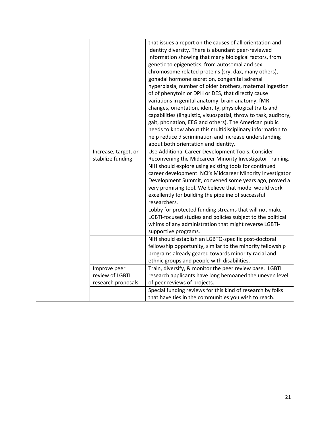|  |                      | that issues a report on the causes of all orientation and<br>identity diversity. There is abundant peer-reviewed<br>information showing that many biological factors, from<br>genetic to epigenetics, from autosomal and sex<br>chromosome related proteins (sry, dax, many others),<br>gonadal hormone secretion, congenital adrenal<br>hyperplasia, number of older brothers, maternal ingestion<br>of of phenytoin or DPH or DES, that directly cause<br>variations in genital anatomy, brain anatomy, fMRI<br>changes, orientation, identity, physiological traits and<br>capabilities (linguistic, visuospatial, throw to task, auditory,<br>gait, phonation, EEG and others). The American public<br>needs to know about this multidisciplinary information to<br>help reduce discrimination and increase understanding<br>about both orientation and identity. |
|--|----------------------|-----------------------------------------------------------------------------------------------------------------------------------------------------------------------------------------------------------------------------------------------------------------------------------------------------------------------------------------------------------------------------------------------------------------------------------------------------------------------------------------------------------------------------------------------------------------------------------------------------------------------------------------------------------------------------------------------------------------------------------------------------------------------------------------------------------------------------------------------------------------------|
|  | Increase, target, or | Use Additional Career Development Tools. Consider                                                                                                                                                                                                                                                                                                                                                                                                                                                                                                                                                                                                                                                                                                                                                                                                                     |
|  | stabilize funding    | Reconvening the Midcareer Minority Investigator Training.<br>NIH should explore using existing tools for continued<br>career development. NCI's Midcareer Minority Investigator<br>Development Summit, convened some years ago, proved a<br>very promising tool. We believe that model would work<br>excellently for building the pipeline of successful<br>researchers.<br>Lobby for protected funding streams that will not make<br>LGBTI-focused studies and policies subject to the political<br>whims of any administration that might reverse LGBTI-                                                                                                                                                                                                                                                                                                            |
|  |                      | supportive programs.                                                                                                                                                                                                                                                                                                                                                                                                                                                                                                                                                                                                                                                                                                                                                                                                                                                  |
|  |                      | NIH should establish an LGBTQ-specific post-doctoral<br>fellowship opportunity, similar to the minority fellowship<br>programs already geared towards minority racial and<br>ethnic groups and people with disabilities.                                                                                                                                                                                                                                                                                                                                                                                                                                                                                                                                                                                                                                              |
|  | Improve peer         | Train, diversify, & monitor the peer review base. LGBTI                                                                                                                                                                                                                                                                                                                                                                                                                                                                                                                                                                                                                                                                                                                                                                                                               |
|  | review of LGBTI      | research applicants have long bemoaned the uneven level                                                                                                                                                                                                                                                                                                                                                                                                                                                                                                                                                                                                                                                                                                                                                                                                               |
|  | research proposals   | of peer reviews of projects.                                                                                                                                                                                                                                                                                                                                                                                                                                                                                                                                                                                                                                                                                                                                                                                                                                          |
|  |                      | Special funding reviews for this kind of research by folks                                                                                                                                                                                                                                                                                                                                                                                                                                                                                                                                                                                                                                                                                                                                                                                                            |
|  |                      | that have ties in the communities you wish to reach.                                                                                                                                                                                                                                                                                                                                                                                                                                                                                                                                                                                                                                                                                                                                                                                                                  |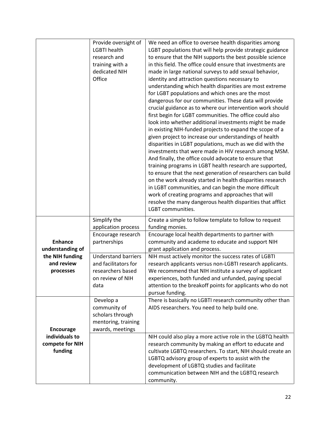|                  | Provide oversight of       | We need an office to oversee health disparities among                                                               |
|------------------|----------------------------|---------------------------------------------------------------------------------------------------------------------|
|                  | <b>LGBTI</b> health        | LGBT populations that will help provide strategic guidance                                                          |
|                  | research and               | to ensure that the NIH supports the best possible science                                                           |
|                  | training with a            | in this field. The office could ensure that investments are                                                         |
|                  | dedicated NIH              | made in large national surveys to add sexual behavior,                                                              |
|                  | Office                     | identity and attraction questions necessary to                                                                      |
|                  |                            | understanding which health disparities are most extreme                                                             |
|                  |                            | for LGBT populations and which ones are the most                                                                    |
|                  |                            | dangerous for our communities. These data will provide                                                              |
|                  |                            | crucial guidance as to where our intervention work should                                                           |
|                  |                            | first begin for LGBT communities. The office could also                                                             |
|                  |                            | look into whether additional investments might be made                                                              |
|                  |                            | in existing NIH-funded projects to expand the scope of a                                                            |
|                  |                            |                                                                                                                     |
|                  |                            | given project to increase our understandings of health                                                              |
|                  |                            | disparities in LGBT populations, much as we did with the                                                            |
|                  |                            | investments that were made in HIV research among MSM.                                                               |
|                  |                            | And finally, the office could advocate to ensure that                                                               |
|                  |                            | training programs in LGBT health research are supported,                                                            |
|                  |                            | to ensure that the next generation of researchers can build                                                         |
|                  |                            | on the work already started in health disparities research                                                          |
|                  |                            | in LGBT communities, and can begin the more difficult                                                               |
|                  |                            | work of creating programs and approaches that will                                                                  |
|                  |                            | resolve the many dangerous health disparities that afflict                                                          |
|                  |                            | LGBT communities.                                                                                                   |
|                  | Simplify the               | Create a simple to follow template to follow to request                                                             |
|                  | application process        | funding monies.                                                                                                     |
|                  | Encourage research         | Encourage local health departments to partner with                                                                  |
| <b>Enhance</b>   | partnerships               | community and academe to educate and support NIH                                                                    |
| understanding of |                            | grant application and process.                                                                                      |
| the NIH funding  | <b>Understand barriers</b> | NIH must actively monitor the success rates of LGBTI                                                                |
| and review       | and facilitators for       | research applicants versus non-LGBTI research applicants.                                                           |
| processes        | researchers based          | We recommend that NIH institute a survey of applicant                                                               |
|                  | on review of NIH           | experiences, both funded and unfunded, paying special                                                               |
|                  |                            |                                                                                                                     |
|                  | data                       | attention to the breakoff points for applicants who do not                                                          |
|                  |                            | pursue funding.                                                                                                     |
|                  | Develop a                  | There is basically no LGBTI research community other than                                                           |
|                  | community of               | AIDS researchers. You need to help build one.                                                                       |
|                  | scholars through           |                                                                                                                     |
|                  | mentoring, training        |                                                                                                                     |
| <b>Encourage</b> | awards, meetings           |                                                                                                                     |
| individuals to   |                            |                                                                                                                     |
| compete for NIH  |                            | NIH could also play a more active role in the LGBTQ health<br>research community by making an effort to educate and |
| funding          |                            | cultivate LGBTQ researchers. To start, NIH should create an                                                         |
|                  |                            | LGBTQ advisory group of experts to assist with the                                                                  |
|                  |                            |                                                                                                                     |
|                  |                            | development of LGBTQ studies and facilitate<br>communication between NIH and the LGBTQ research                     |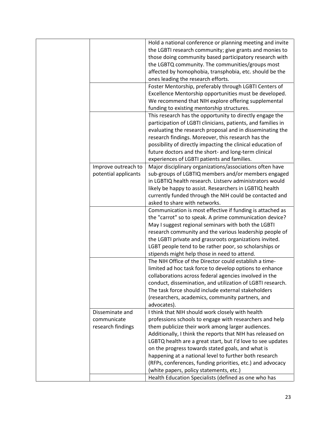|                      | Hold a national conference or planning meeting and invite    |
|----------------------|--------------------------------------------------------------|
|                      | the LGBTI research community; give grants and monies to      |
|                      | those doing community based participatory research with      |
|                      | the LGBTQ community. The communities/groups most             |
|                      | affected by homophobia, transphobia, etc. should be the      |
|                      | ones leading the research efforts.                           |
|                      | Foster Mentorship, preferably through LGBTI Centers of       |
|                      | Excellence Mentorship opportunities must be developed.       |
|                      | We recommend that NIH explore offering supplemental          |
|                      | funding to existing mentorship structures.                   |
|                      | This research has the opportunity to directly engage the     |
|                      | participation of LGBTI clinicians, patients, and families in |
|                      | evaluating the research proposal and in disseminating the    |
|                      | research findings. Moreover, this research has the           |
|                      | possibility of directly impacting the clinical education of  |
|                      | future doctors and the short- and long-term clinical         |
|                      | experiences of LGBTI patients and families.                  |
| Improve outreach to  | Major disciplinary organizations/associations often have     |
| potential applicants | sub-groups of LGBTIQ members and/or members engaged          |
|                      | in LGBTIQ health research. Listserv administrators would     |
|                      | likely be happy to assist. Researchers in LGBTIQ health      |
|                      | currently funded through the NIH could be contacted and      |
|                      | asked to share with networks.                                |
|                      | Communication is most effective if funding is attached as    |
|                      | the "carrot" so to speak. A prime communication device?      |
|                      | May I suggest regional seminars with both the LGBTI          |
|                      | research community and the various leadership people of      |
|                      | the LGBTI private and grassroots organizations invited.      |
|                      | LGBT people tend to be rather poor, so scholarships or       |
|                      | stipends might help those in need to attend.                 |
|                      | The NIH Office of the Director could establish a time-       |
|                      | limited ad hoc task force to develop options to enhance      |
|                      | collaborations across federal agencies involved in the       |
|                      | conduct, dissemination, and utilization of LGBTI research.   |
|                      | The task force should include external stakeholders          |
|                      | (researchers, academics, community partners, and             |
|                      | advocates).                                                  |
| Disseminate and      | I think that NIH should work closely with health             |
| communicate          | professions schools to engage with researchers and help      |
| research findings    | them publicize their work among larger audiences.            |
|                      | Additionally, I think the reports that NIH has released on   |
|                      | LGBTQ health are a great start, but I'd love to see updates  |
|                      | on the progress towards stated goals, and what is            |
|                      | happening at a national level to further both research       |
|                      | (RFPs, conferences, funding priorities, etc.) and advocacy   |
|                      | (white papers, policy statements, etc.)                      |
|                      | Health Education Specialists (defined as one who has         |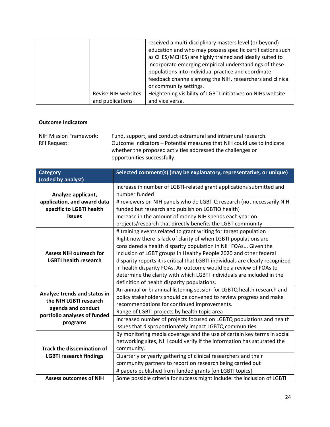|                     | received a multi-disciplinary masters level (or beyond)<br>education and who may possess specific certifications such<br>as CHES/MCHES) are highly trained and ideally suited to<br>incorporate emerging empirical understandings of these<br>populations into individual practice and coordinate<br>feedback channels among the NIH, researchers and clinical<br>or community settings. |
|---------------------|------------------------------------------------------------------------------------------------------------------------------------------------------------------------------------------------------------------------------------------------------------------------------------------------------------------------------------------------------------------------------------------|
| Revise NIH websites | Heightening visibility of LGBTI initiatives on NIHs website                                                                                                                                                                                                                                                                                                                              |
| and publications    | and vice versa.                                                                                                                                                                                                                                                                                                                                                                          |

### **Outcome Indicators**

**RFI Request:** NIH Mission Framework: Fund, support, and conduct extramural and intramural research. Outcome Indicators – Potential measures that NIH could use to indicate whether the proposed activities addressed the challenges or

opportunities successfully.

| <b>Category</b><br>(coded by analyst)                   | Selected comment(s) (may be explanatory, representative, or unique)                                                        |
|---------------------------------------------------------|----------------------------------------------------------------------------------------------------------------------------|
| Analyze applicant,                                      | Increase in number of LGBTI-related grant applications submitted and<br>number funded                                      |
| application, and award data<br>specific to LGBTI health | # reviewers on NIH panels who do LGBTIQ research (not necessarily NIH<br>funded but research and publish on LGBTIQ health) |
| <b>issues</b>                                           | Increase in the amount of money NIH spends each year on<br>projects/research that directly benefits the LGBT community     |
|                                                         | # training events related to grant writing for target population                                                           |
|                                                         | Right now there is lack of clarity of when LGBTI populations are                                                           |
|                                                         | considered a health disparity population in NIH FOAs Given the                                                             |
| <b>Assess NIH outreach for</b>                          | inclusion of LGBT groups in Healthy People 2020 and other federal                                                          |
| <b>LGBTI health research</b>                            | disparity reports it is critical that LGBTI individuals are clearly recognized                                             |
|                                                         | in health disparity FOAs. An outcome would be a review of FOAs to                                                          |
|                                                         | determine the clarity with which LGBTI individuals are included in the                                                     |
|                                                         | definition of health disparity populations.                                                                                |
| Analyze trends and status in                            | An annual or bi-annual listening session for LGBTQ health research and                                                     |
| the NIH LGBTI research                                  | policy stakeholders should be convened to review progress and make                                                         |
|                                                         | recommendations for continued improvements.                                                                                |
| agenda and conduct<br>portfolio analyses of funded      | Range of LGBTI projects by health topic area                                                                               |
| programs                                                | Increased number of projects focused on LGBTQ populations and health                                                       |
|                                                         | issues that disproportionately impact LGBTQ communities                                                                    |
|                                                         | By monitoring media coverage and the use of certain key terms in social                                                    |
|                                                         | networking sites, NIH could verify if the information has saturated the                                                    |
| <b>Track the dissemination of</b>                       | community.                                                                                                                 |
| <b>LGBTI research findings</b>                          | Quarterly or yearly gathering of clinical researchers and their                                                            |
|                                                         | community partners to report on research being carried out                                                                 |
|                                                         | # papers published from funded grants [on LGBTI topics]                                                                    |
| <b>Assess outcomes of NIH</b>                           | Some possible criteria for success might include: the inclusion of LGBTI                                                   |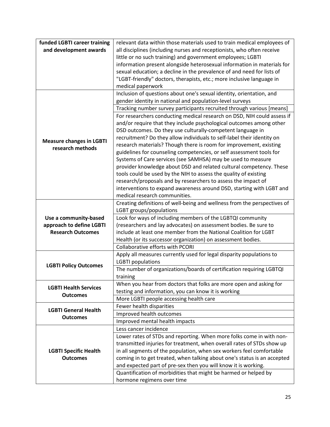| funded LGBTI career training                        | relevant data within those materials used to train medical employees of  |
|-----------------------------------------------------|--------------------------------------------------------------------------|
| and development awards                              | all disciplines (including nurses and receptionists, who often receive   |
|                                                     | little or no such training) and government employees; LGBTI              |
|                                                     | information present alongside heterosexual information in materials for  |
|                                                     | sexual education; a decline in the prevalence of and need for lists of   |
|                                                     | "LGBT-friendly" doctors, therapists, etc.; more inclusive language in    |
|                                                     | medical paperwork                                                        |
|                                                     | Inclusion of questions about one's sexual identity, orientation, and     |
|                                                     | gender identity in national and population-level surveys                 |
|                                                     | Tracking number survey participants recruited through various [means]    |
|                                                     | For researchers conducting medical research on DSD, NIH could assess if  |
|                                                     | and/or require that they include psychological outcomes among other      |
|                                                     | DSD outcomes. Do they use culturally-competent language in               |
|                                                     | recruitment? Do they allow individuals to self-label their identity on   |
| <b>Measure changes in LGBTI</b><br>research methods | research materials? Though there is room for improvement, existing       |
|                                                     | guidelines for counseling competencies, or self assessment tools for     |
|                                                     | Systems of Care services (see SAMHSA) may be used to measure             |
|                                                     | provider knowledge about DSD and related cultural competency. These      |
|                                                     | tools could be used by the NIH to assess the quality of existing         |
|                                                     | research/proposals and by researchers to assess the impact of            |
|                                                     | interventions to expand awareness around DSD, starting with LGBT and     |
|                                                     | medical research communities.                                            |
|                                                     | Creating definitions of well-being and wellness from the perspectives of |
|                                                     | LGBT groups/populations                                                  |
| Use a community-based                               | Look for ways of including members of the LGBTQI community               |
| approach to define LGBTI                            | (researchers and lay advocates) on assessment bodies. Be sure to         |
| <b>Research Outcomes</b>                            | include at least one member from the National Coalition for LGBT         |
|                                                     | Health (or its successor organization) on assessment bodies.             |
|                                                     | Collaborative efforts with PCORI                                         |
|                                                     | Apply all measures currently used for legal disparity populations to     |
|                                                     | <b>LGBTI</b> populations                                                 |
| <b>LGBTI Policy Outcomes</b>                        | The number of organizations/boards of certification requiring LGBTQI     |
|                                                     | training                                                                 |
| <b>LGBTI Health Services</b>                        | When you hear from doctors that folks are more open and asking for       |
|                                                     | testing and information, you can know it is working                      |
| <b>Outcomes</b>                                     | More LGBTI people accessing health care                                  |
|                                                     | Fewer health disparities                                                 |
| <b>LGBTI General Health</b>                         | Improved health outcomes                                                 |
| <b>Outcomes</b>                                     | Improved mental health impacts                                           |
|                                                     | Less cancer incidence                                                    |
|                                                     | Lower rates of STDs and reporting. When more folks come in with non-     |
|                                                     | transmitted injuries for treatment, when overall rates of STDs show up   |
| <b>LGBTI Specific Health</b>                        | in all segments of the population, when sex workers feel comfortable     |
| <b>Outcomes</b>                                     | coming in to get treated, when talking about one's status is an accepted |
|                                                     | and expected part of pre-sex then you will know it is working.           |
|                                                     | Quantification of morbidities that might be harmed or helped by          |
|                                                     | hormone regimens over time                                               |
|                                                     |                                                                          |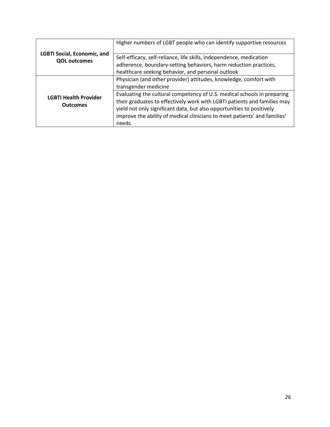<span id="page-27-0"></span>

|                                                           | Higher numbers of LGBT people who can identify supportive resources                                                                                                                                                                                                                                                 |
|-----------------------------------------------------------|---------------------------------------------------------------------------------------------------------------------------------------------------------------------------------------------------------------------------------------------------------------------------------------------------------------------|
| <b>LGBTI Social, Economic, and</b><br><b>QOL outcomes</b> | Self-efficacy, self-reliance, life skills, independence, medication                                                                                                                                                                                                                                                 |
|                                                           | adherence, boundary-setting behaviors, harm reduction practices,                                                                                                                                                                                                                                                    |
|                                                           | healthcare seeking behavior, and personal outlook                                                                                                                                                                                                                                                                   |
|                                                           | Physician (and other provider) attitudes, knowledge, comfort with                                                                                                                                                                                                                                                   |
|                                                           | transgender medicine                                                                                                                                                                                                                                                                                                |
| <b>LGBTI Health Provider</b><br><b>Outcomes</b>           | Evaluating the cultural competency of U.S. medical schools in preparing<br>their graduates to effectively work with LGBTI patients and families may<br>yield not only significant data, but also opportunities to positively<br>improve the ability of medical clinicians to meet patients' and families'<br>needs. |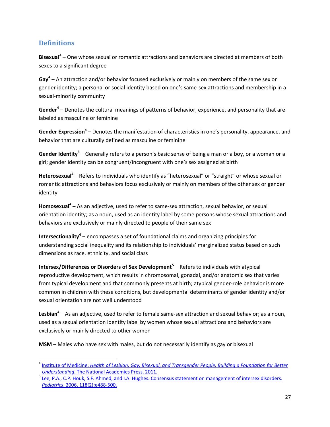# **Definitions**

l

 **Bisexual[4](#page-28-0)** – One whose sexual or romantic attractions and behaviors are directed at members of both sexes to a significant degree

 **Gay<sup>4</sup>**– An attraction and/or behavior focused exclusively or mainly on members of the same sex or gender identity; a personal or social identity based on one's same-sex attractions and membership in a sexual-minority community

 **Gender<sup>4</sup>**– Denotes the cultural meanings of patterns of behavior, experience, and personality that are labeled as masculine or feminine

Gender Expression<sup>4</sup> – Denotes the manifestation of characteristics in one's personality, appearance, and behavior that are culturally defined as masculine or feminine

 **Gender Identity<sup>4</sup>**– Generally refers to a person's basic sense of being a man or a boy, or a woman or a girl; gender identity can be congruent/incongruent with one's sex assigned at birth

 **Heterosexual<sup>4</sup>**– Refers to individuals who identify as "heterosexual" or "straight" or whose sexual or romantic attractions and behaviors focus exclusively or mainly on members of the other sex or gender identity

 **Homosexual<sup>4</sup>**– As an adjective, used to refer to same-sex attraction, sexual behavior, or sexual orientation identity; as a noun, used as an identity label by some persons whose sexual attractions and behaviors are exclusively or mainly directed to people of their same sex

 **Intersectionality<sup>4</sup>**– encompasses a set of foundational claims and organizing principles for understanding social inequality and its relationship to individuals' marginalized status based on such dimensions as race, ethnicity, and social class

 **Intersex/Differences or Disorders of Sex Development[5](#page-28-1)** – Refers to individuals with atypical reproductive development, which results in chromosomal, gonadal, and/or anatomic sex that varies from typical development and that commonly presents at birth; atypical gender-role behavior is more common in children with these conditions, but developmental determinants of gender identity and/or sexual orientation are not well understood

 **Lesbian4** – As an adjective, used to refer to female same-sex attraction and sexual behavior; as a noun, used as a sexual orientation identity label by women whose sexual attractions and behaviors are exclusively or mainly directed to other women

**MSM** – Males who have sex with males, but do not necessarily identify as gay or bisexual

<span id="page-28-0"></span>Understanding. The National Academies Press, 2011. 4 Institute of Medicine. *[Health of Lesbian, Gay, Bisexual, and Transgender People: Building a Foundation for Better](http://www.nap.edu/catalog/13128/the-health-of-lesbian-gay-bisexual-and-transgender-people-building)* 

<span id="page-28-1"></span><sup>&</sup>lt;sup>5</sup> Lee, P.A., C.P. Houk, S.F. Ahmed, and I.A. Hughes. Consensus statement on management of intersex disorders. *Pediatrics*[. 2006, 118\(2\):e488-500.](http://www.ncbi.nlm.nih.gov/pubmed/16882788)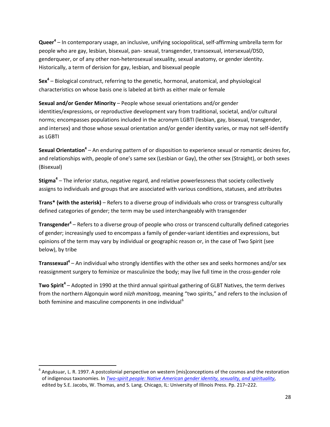**Queer<sup>4</sup>**– In contemporary usage, an inclusive, unifying sociopolitical, self-affirming umbrella term for people who are gay, lesbian, bisexual, pan- sexual, transgender, transsexual, intersexual/DSD, genderqueer, or of any other non-heterosexual sexuality, sexual anatomy, or gender identity. Historically, a term of derision for gay, lesbian, and bisexual people

**Sex4** – Biological construct, referring to the genetic, hormonal, anatomical, and physiological characteristics on whose basis one is labeled at birth as either male or female

 **Sexual and/or Gender Minority** – People whose sexual orientations and/or gender identities/expressions, or reproductive development vary from traditional, societal, and/or cultural norms; encompasses populations included in the acronym LGBTI (lesbian, gay, bisexual, transgender, and intersex) and those whose sexual orientation and/or gender identity varies, or may not self-identify as LGBTI

**Sexual Orientation<sup>4</sup> –** An enduring pattern of or disposition to experience sexual or romantic desires for, and relationships with, people of one's same sex (Lesbian or Gay), the other sex (Straight), or both sexes (Bisexual)

 **Stigma4** – The inferior status, negative regard, and relative powerlessness that society collectively assigns to individuals and groups that are associated with various conditions, statuses, and attributes

 **Trans\* (with the asterisk)** – Refers to a diverse group of individuals who cross or transgress culturally defined categories of gender; the term may be used interchangeably with transgender

 **Transgender<sup>4</sup>**– Refers to a diverse group of people who cross or transcend culturally defined categories of gender; increasingly used to encompass a family of gender-variant identities and expressions, but opinions of the term may vary by individual or geographic reason or, in the case of Two Spirit (see below), by tribe

 **Transsexual<sup>4</sup>**– An individual who strongly identifies with the other sex and seeks hormones and/or sex reassignment surgery to feminize or masculinize the body; may live full time in the cross-gender role

 **Two Spirit<sup>4</sup>**– Adopted in 1990 at the third annual spiritual gathering of GLBT Natives, the term derives from the northern Algonquin word *niizh manitoag*, meaning "two spirits," and refers to the inclusion of both feminine and masculine components in one individual<sup>6</sup>

 $\overline{a}$ 

<span id="page-29-0"></span> $^6$  Anguksuar, L. R. 1997. A postcolonial perspective on western [mis]conceptions of the cosmos and the restoration of indigenous taxonomies. In *[Two-spirit people: Native American gender identity, sexuality, and spirituality](http://www.press.uillinois.edu/books/catalog/97crs4ns9780252066450.html)*, edited by S.E. Jacobs, W. Thomas, and S. Lang. Chicago, IL: University of Illinois Press. Pp. 217–222.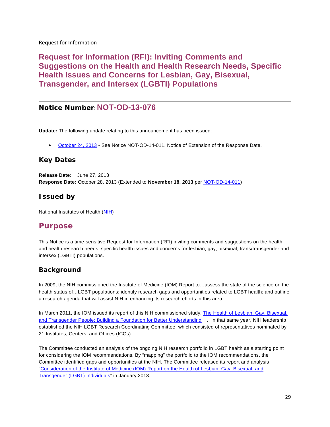<span id="page-30-0"></span>Request for Information

**Request for Information (RFI): Inviting Comments and Suggestions on the Health and Health Research Needs, Specific Health Issues and Concerns for Lesbian, Gay, Bisexual, Transgender, and Intersex (LGBTI) Populations** 

# **Notice Number**: **NOT-OD-13-076**

**Update:** The following update relating to this announcement has been issued:

• [October 24, 2013](http://grants.nih.gov/grants/guide/notice-files/NOT-OD-14-011.html) - See Notice NOT-OD-14-011. Notice of Extension of the Response Date.

# **Key Dates**

 **Release Date:** June 27, 2013 **Response Date:** October 28, 2013 (Extended to **November 18, 2013** per [NOT-OD-14-011\)](http://grants.nih.gov/grants/guide/notice-files/NOT-OD-14-011.html)

## **Issued by**

National Institutes of Health (<u>NIH</u>)

# **Purpose**

 This Notice is a time-sensitive Request for Information (RFI) inviting comments and suggestions on the health and health research needs, specific health issues and concerns for lesbian, gay, bisexual, trans/transgender and intersex (LGBTI) populations.

# **Background**

 In 2009, the NIH commissioned the Institute of Medicine (IOM) Report to…assess the state of the science on the health status of…LGBT populations; identify research gaps and opportunities related to LGBT health; and outline a research agenda that will assist NIH in enhancing its research efforts in this area.

In March 2011, the IOM issued its report of this NIH commissioned study, <u>The Health of Lesbian, Gay, Bisexual,</u> [and Transgender People: Building a Foundation for Better Understanding](http://www.iom.edu/Reports/2011/The-Health-of-Lesbian-Gay-Bisexual-and-Transgender-People.aspx) . In that same year, NIH leadership established the NIH LGBT Research Coordinating Committee, which consisted of representatives nominated by 21 Institutes, Centers, and Offices (ICOs).

 The Committee conducted an analysis of the ongoing NIH research portfolio in LGBT health as a starting point for considering the IOM recommendations. By "mapping" the portfolio to the IOM recommendations, the Committee identified gaps and opportunities at the NIH. The Committee released its report and analysis ["Consideration of the Institute of Medicine \(IOM\) Report on the Health of Lesbian, Gay, Bisexual, and](http://report.nih.gov/UploadDocs/LGBT%20Health%20Report_FINAL_2013-01-03-508%20compliant.pdf)  [Transgender \(LGBT\) Individuals"](http://report.nih.gov/UploadDocs/LGBT%20Health%20Report_FINAL_2013-01-03-508%20compliant.pdf) in January 2013.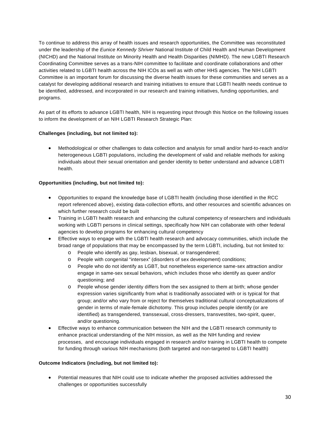To continue to address this array of health issues and research opportunities, the Committee was reconstituted under the leadership of the *Eunice Kennedy Shriver* National Institute of Child Health and Human Development (NICHD) and the National Institute on Minority Health and Health Disparities (NIMHD). The new LGBTI Research Coordinating Committee serves as a trans-NIH committee to facilitate and coordinate collaborations and other activities related to LGBTI health across the NIH ICOs as well as with other HHS agencies. The NIH LGBTI Committee is an important forum for discussing the diverse health issues for these communities and serves as a catalyst for developing additional research and training initiatives to ensure that LGBTI health needs continue to be identified, addressed, and incorporated in our research and training initiatives, funding opportunities, and programs.

 As part of its efforts to advance LGBTI health, NIH is requesting input through this Notice on the following issues to inform the development of an NIH LGBTI Research Strategic Plan:

#### **Challenges (including, but not limited to):**

 • Methodological or other challenges to data collection and analysis for small and/or hard-to-reach and/or heterogeneous LGBTI populations, including the development of valid and reliable methods for asking individuals about their sexual orientation and gender identity to better understand and advance LGBTI health.

#### **Opportunities (including, but not limited to):**

- • Opportunities to expand the knowledge base of LGBTI health (including those identified in the RCC report referenced above), existing data-collection efforts, and other resources and scientific advances on which further research could be built
- • Training in LGBTI health research and enhancing the cultural competency of researchers and individuals working with LGBTI persons in clinical settings, specifically how NIH can collaborate with other federal agencies to develop programs for enhancing cultural competency
- broad range of populations that may be encompassed by the term LGBTI, including, but not limited to: Effective ways to engage with the LGBTI health research and advocacy communities, which include the
	- o People who identify as gay, lesbian, bisexual, or transgendered;
	- o People with congenital "intersex" (disorders of sex development) conditions;
	- o People who do not identify as LGBT, but nonetheless experience same-sex attraction and/or engage in same-sex sexual behaviors, which includes those who identify as queer and/or questioning; and
	- o People whose gender identity differs from the sex assigned to them at birth; whose gender expression varies significantly from what is traditionally associated with or is typical for that group; and/or who vary from or reject for themselves traditional cultural conceptualizations of gender in terms of male-female dichotomy. This group includes people identify (or are identified) as transgendered, transsexual, cross-dressers, transvestites, two-spirit, queer, and/or questioning.
- enhance practical understanding of the NIH mission, as well as the NIH funding and review processes, and encourage individuals engaged in research and/or training in LGBTI health to compete for funding through various NIH mechanisms (both targeted and non-targeted to LGBTI health) • Effective ways to enhance communication between the NIH and the LGBTI research community to

#### **Outcome Indicators (including, but not limited to):**

 • Potential measures that NIH could use to indicate whether the proposed activities addressed the challenges or opportunities successfully